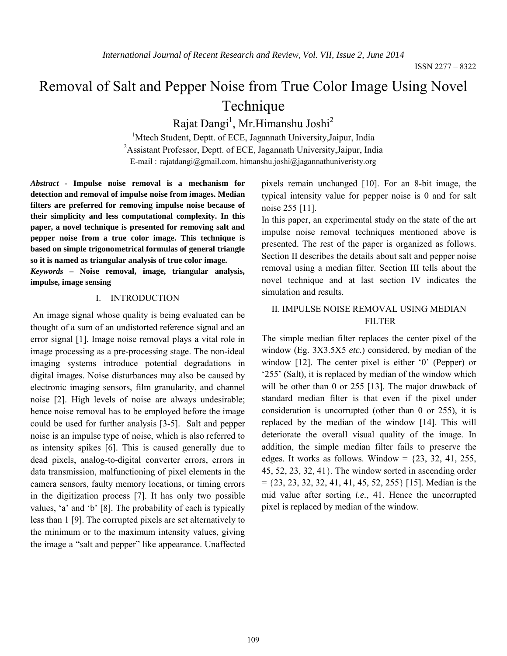# Removal of Salt and Pepper Noise from True Color Image Using Novel Technique

Rajat Dangi<sup>1</sup>, Mr.Himanshu Joshi<sup>2</sup>

<sup>1</sup>Mtech Student, Deptt. of ECE, Jagannath University, Jaipur, India <sup>2</sup> Assistant Professor, Deptt. of ECE, Jagannath University, Jaipur, India E-mail : rajatdangi@gmail.com, himanshu.joshi@jagannathuniveristy.org

*Abstract -* **Impulse noise removal is a mechanism for detection and removal of impulse noise from images. Median filters are preferred for removing impulse noise because of their simplicity and less computational complexity. In this paper, a novel technique is presented for removing salt and pepper noise from a true color image. This technique is based on simple trigonometrical formulas of general triangle so it is named as triangular analysis of true color image.**

*Keywords –* **Noise removal, image, triangular analysis, impulse, image sensing**

#### I. INTRODUCTION

An image signal whose quality is being evaluated can be thought of a sum of an undistorted reference signal and an error signal [1]. Image noise removal plays a vital role in image processing as a pre-processing stage. The non-ideal imaging systems introduce potential degradations in digital images. Noise disturbances may also be caused by electronic imaging sensors, film granularity, and channel noise [2]. High levels of noise are always undesirable; hence noise removal has to be employed before the image could be used for further analysis [3-5]. Salt and pepper noise is an impulse type of noise, which is also referred to as intensity spikes [6]. This is caused generally due to dead pixels, analog-to-digital converter errors, errors in data transmission, malfunctioning of pixel elements in the camera sensors, faulty memory locations, or timing errors in the digitization process [7]. It has only two possible values, 'a' and 'b' [8]. The probability of each is typically less than 1 [9]. The corrupted pixels are set alternatively to the minimum or to the maximum intensity values, giving the image a "salt and pepper" like appearance. Unaffected pixels remain unchanged [10]. For an 8-bit image, the typical intensity value for pepper noise is 0 and for salt noise 255 [11].

In this paper, an experimental study on the state of the art impulse noise removal techniques mentioned above is presented. The rest of the paper is organized as follows. Section II describes the details about salt and pepper noise removal using a median filter. Section III tells about the novel technique and at last section IV indicates the simulation and results.

## II. IMPULSE NOISE REMOVAL USING MEDIAN FILTER

The simple median filter replaces the center pixel of the window (Eg. 3X3.5X5 *etc.*) considered, by median of the window [12]. The center pixel is either '0' (Pepper) or '255' (Salt), it is replaced by median of the window which will be other than 0 or 255 [13]. The major drawback of standard median filter is that even if the pixel under consideration is uncorrupted (other than 0 or 255), it is replaced by the median of the window [14]. This will deteriorate the overall visual quality of the image. In addition, the simple median filter fails to preserve the edges. It works as follows. Window =  $\{23, 32, 41, 255,$ 45, 52, 23, 32, 41}. The window sorted in ascending order  $= \{23, 23, 32, 32, 41, 41, 45, 52, 255\}$  [15]. Median is the mid value after sorting *i.e.*, 41. Hence the uncorrupted pixel is replaced by median of the window.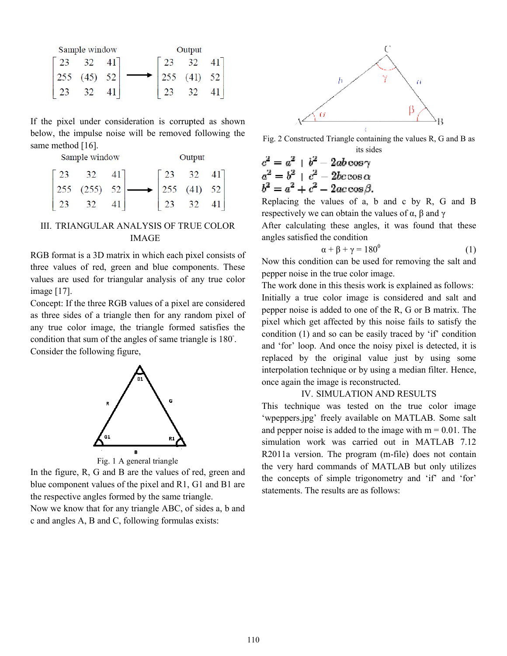|     | Sample window |  | Output |           |  |  |  |
|-----|---------------|--|--------|-----------|--|--|--|
|     |               |  |        | 32        |  |  |  |
| 255 | $(45)$ 52     |  | 255    | $(41)$ 52 |  |  |  |
|     |               |  |        | 32        |  |  |  |

|                                                                                                                                                                                                |  | If the pixel under consideration is corrupted as shown                                                                                                                             |  |  |        |  |  |  |  |  |
|------------------------------------------------------------------------------------------------------------------------------------------------------------------------------------------------|--|------------------------------------------------------------------------------------------------------------------------------------------------------------------------------------|--|--|--------|--|--|--|--|--|
| below, the impulse noise will be removed following the                                                                                                                                         |  |                                                                                                                                                                                    |  |  |        |  |  |  |  |  |
| same method [16].                                                                                                                                                                              |  |                                                                                                                                                                                    |  |  |        |  |  |  |  |  |
| Sample window                                                                                                                                                                                  |  |                                                                                                                                                                                    |  |  | Output |  |  |  |  |  |
|                                                                                                                                                                                                |  | $\begin{bmatrix} 23 & 32 & 41 \\ 255 & (255) & 52 \\ 23 & 32 & 41 \end{bmatrix} \longrightarrow \begin{bmatrix} 23 & 32 & 41 \\ 255 & (41) & 52 \\ 23 & 32 & 41 \end{bmatrix}$     |  |  |        |  |  |  |  |  |
|                                                                                                                                                                                                |  |                                                                                                                                                                                    |  |  |        |  |  |  |  |  |
|                                                                                                                                                                                                |  |                                                                                                                                                                                    |  |  |        |  |  |  |  |  |
| III. TRIANGULAR ANALYSIS OF TRUE COLOR<br><b>IMAGE</b>                                                                                                                                         |  |                                                                                                                                                                                    |  |  |        |  |  |  |  |  |
| RGB format is a 3D matrix in which each pixel consists of<br>three values of red, green and blue components. These<br>values are used for triangular analysis of any true color<br>image [17]. |  |                                                                                                                                                                                    |  |  |        |  |  |  |  |  |
|                                                                                                                                                                                                |  | Concept: If the three RGB values of a pixel are considered<br>as three sides of a triangle then for any random pixel of<br>any true color image, the triangle formed satisfies the |  |  |        |  |  |  |  |  |
| condition that sum of the angles of same triangle is 180°.                                                                                                                                     |  |                                                                                                                                                                                    |  |  |        |  |  |  |  |  |

## III. TRIANGULAR ANALYSIS OF TRUE COLOR IMAGE

Concept: If the three RGB values of a pixel are considered as three sides of a triangle then for any random pixel of any true color image, the triangle formed satisfies the condition that sum of the angles of same triangle is 180 . Consider the following figure,



Fig. 1 A general triangle

In the figure, R, G and B are the values of red, green and blue component values of the pixel and R1, G1 and B1 are the respective angles formed by the same triangle.

Now we know that for any triangle ABC, of sides a, b and c and angles A, B and C, following formulas exists:



its sides

Fig. 2 Constructed Triangle containing the values R, G and B as its sides  
\n
$$
c^2 = a^2 + b^2 - 2ab \cos \gamma
$$
\n
$$
a^2 = b^2 + c^2 - 2bc \cos \alpha
$$
\n
$$
b^2 = a^2 + c^2 - 2ac \cos \beta.
$$
\nReplacing the values of a, b and c by R, G and B

respectively we can obtain the values of  $\alpha$ ,  $\beta$  and  $\gamma$ 

After calculating these angles, it was found that these<br>angles satisfied the condition<br> $\alpha + \beta + \gamma = 180^{\circ}$  (1) angles satisfied the condition

$$
\alpha + \beta + \gamma = 180^0 \tag{1}
$$

Now this condition can be used for removing the salt and pepper noise in the true color image.

green technologies of starts: Fig. 2 Constructed Triangle blue columns of the pixel and B as the pixel and B as the pixel and B as the pixel and and by R, G and B as the pixel and and exists of a pixel and exists of a pix The work done in this thesis work is explained as follows: pepper noise in the true color image.<br>The work done in this thesis work is explained as follows:<br>Initially a true color image is considered and salt and pepper noise is added to one of the R, G or B matrix. The pixel which get affected by this noise fails to satisfy the condition (1) and so can be easily traced by 'if' condition and 'for' loop. And once the noisy pixel is detected, it is replaced by the original value just by using some interpolation technique or by using a median filter. Hence, once again the image is reconstructed. per moise is added to one of the R, G or B matrix. The pixel which get affected by this noise fails to satisfy the condition (1) and so can be easily traced by 'if' condition and 'for' loop. And once the noisy pixel is det

#### IV. SIMULATION AND RESULTS

This technique was tested on the true color image 'wpeppers.jpg' freely available on MATLAB. Some salt and pepper noise is added to the image with  $m = 0.01$ . The simulation work was carried out in MATLAB 7.12<br>R2011a version. The program (m-file) does not contain R2011a version. The program (m-file) does not contain the very hard commands of MATLAB but only utilizes the very hard commands of MATLAB but only utilizes<br>the concepts of simple trigonometry and 'if' and 'for' statements. The results are as follows: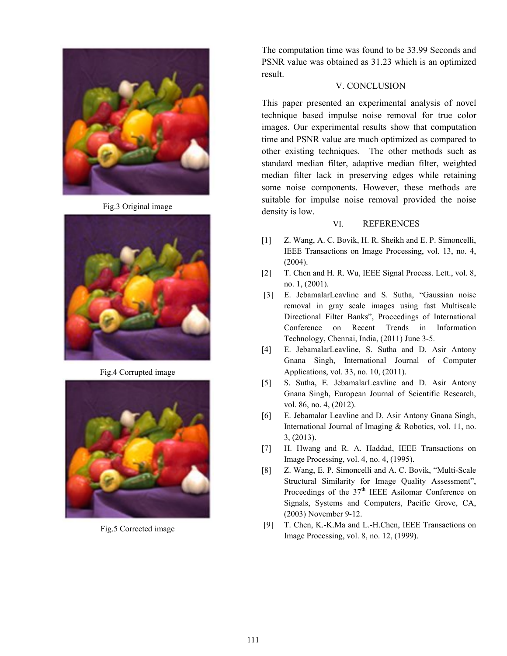

Fig.3 Original image



Fig.4 Corrupted image



Fig.5 Corrected image

The computation time was found to be 33.99 Seconds and PSNR value was obtained as 31.23 which is an optimized result.

## V. CONCLUSION

This paper presented an experimental analysis of novel technique based impulse noise removal for true color images. Our experimental results show that computation time and PSNR value are much optimized as compared to other existing techniques. The other methods such as standard median filter, adaptive median filter, weighted median filter lack in preserving edges while retaining some noise components. However, these methods are suitable for impulse noise removal provided the noise density is low.

### VI. REFERENCES

- [1] Z. Wang, A. C. Bovik, H. R. Sheikh and E. P. Simoncelli, IEEE Transactions on Image Processing, vol. 13, no. 4, (2004).
- [2] T. Chen and H. R. Wu, IEEE Signal Process. Lett., vol. 8, no. 1, (2001).
- [3] E. JebamalarLeavline and S. Sutha, "Gaussian noise removal in gray scale images using fast Multiscale Directional Filter Banks", Proceedings of International Conference on Recent Trends in Information Technology, Chennai, India, (2011) June 3-5.
- [4] E. JebamalarLeavline, S. Sutha and D. Asir Antony Gnana Singh, International Journal of Computer Applications, vol. 33, no. 10, (2011).
- [5] S. Sutha, E. JebamalarLeavline and D. Asir Antony Gnana Singh, European Journal of Scientific Research, vol. 86, no. 4, (2012).
- [6] E. Jebamalar Leavline and D. Asir Antony Gnana Singh, International Journal of Imaging & Robotics, vol. 11, no. 3, (2013).
- [7] H. Hwang and R. A. Haddad, IEEE Transactions on Image Processing, vol. 4, no. 4, (1995).
- [8] Z. Wang, E. P. Simoncelli and A. C. Bovik, "Multi-Scale Structural Similarity for Image Quality Assessment", Proceedings of the  $37<sup>th</sup>$  IEEE Asilomar Conference on Signals, Systems and Computers, Pacific Grove, CA, (2003) November 9-12.
- [9] T. Chen, K.-K.Ma and L.-H.Chen, IEEE Transactions on Image Processing, vol. 8, no. 12, (1999).